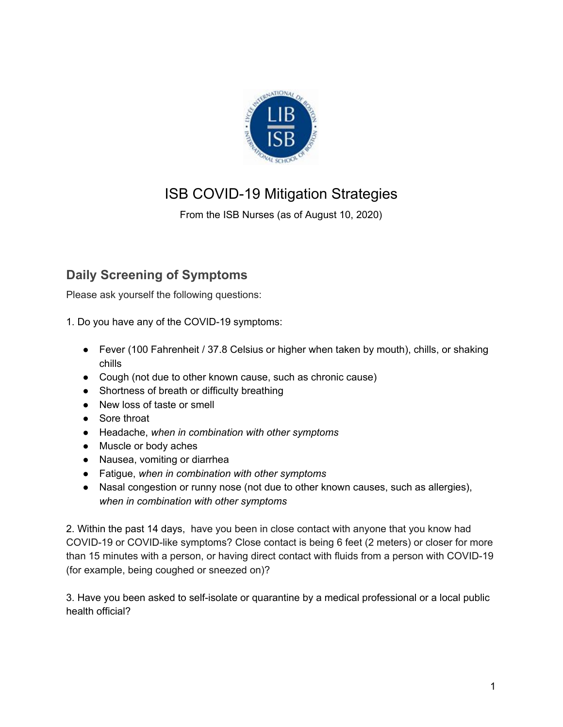

# ISB COVID-19 Mitigation Strategies

From the ISB Nurses (as of August 10, 2020)

## **Daily Screening of Symptoms**

Please ask yourself the following questions:

- 1. Do you have any of the COVID-19 symptoms:
	- Fever (100 Fahrenheit / 37.8 Celsius or higher when taken by mouth), chills, or shaking chills
	- Cough (not due to other known cause, such as chronic cause)
	- Shortness of breath or difficulty breathing
	- New loss of taste or smell
	- Sore throat
	- Headache, *when in combination with other symptoms*
	- Muscle or body aches
	- Nausea, vomiting or diarrhea
	- Fatigue, *when in combination with other symptoms*
	- Nasal congestion or runny nose (not due to other known causes, such as allergies), *when in combination with other symptoms*

2. Within the past 14 days, have you been in close contact with anyone that you know had COVID-19 or COVID-like symptoms? Close contact is being 6 feet (2 meters) or closer for more than 15 minutes with a person, or having direct contact with fluids from a person with COVID-19 (for example, being coughed or sneezed on)?

3. Have you been asked to self-isolate or quarantine by a medical professional or a local public health official?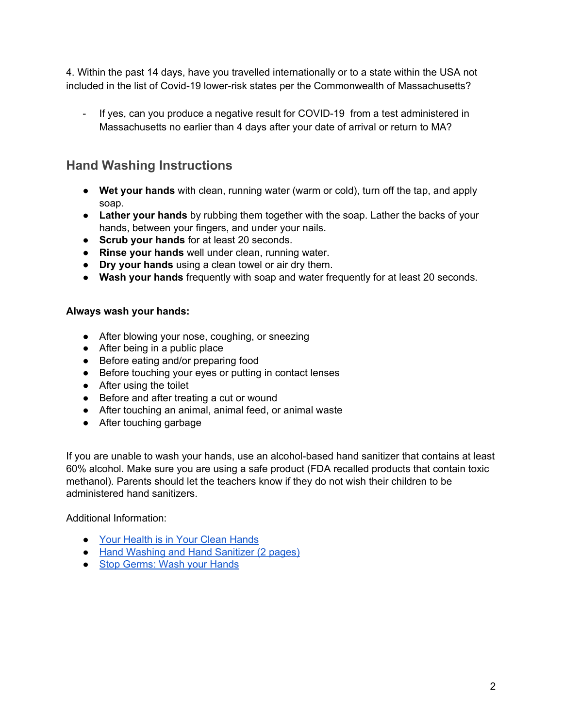4. Within the past 14 days, have you travelled internationally or to a state within the USA not included in the list of Covid-19 lower-risk states per the Commonwealth of Massachusetts?

If yes, can you produce a negative result for COVID-19 from a test administered in Massachusetts no earlier than 4 days after your date of arrival or return to MA?

#### **Hand Washing Instructions**

- **Wet your hands** with clean, running water (warm or cold), turn off the tap, and apply soap.
- **Lather your hands** by rubbing them together with the soap. Lather the backs of your hands, between your fingers, and under your nails.
- **Scrub your hands** for at least 20 seconds.
- **Rinse your hands** well under clean, running water.
- **Dry your hands** using a clean towel or air dry them.
- **Wash your hands** frequently with soap and water frequently for at least 20 seconds.

#### **Always wash your hands:**

- After blowing your nose, coughing, or sneezing
- After being in a public place
- Before eating and/or preparing food
- Before touching your eyes or putting in contact lenses
- After using the toilet
- Before and after treating a cut or wound
- After touching an animal, animal feed, or animal waste
- After touching garbage

If you are unable to wash your hands, use an alcohol-based hand sanitizer that contains at least 60% alcohol. Make sure you are using a safe product (FDA recalled products that contain toxic methanol). Parents should let the teachers know if they do not wish their children to be administered hand sanitizers.

Additional Information:

- Your [Health](http://files.hria.org/files/HW3707.pdf) is in Your Clean Hands
- Hand Washing and Hand [Sanitizer](https://www.cdc.gov/handwashing/pdf/hand-sanitizer-factsheet.pdf) (2 pages)
- Stop [Germs:](https://www.cdc.gov/handwashing/pdf/wash-your-hands-fact-sheet-508.pdf) Wash your Hands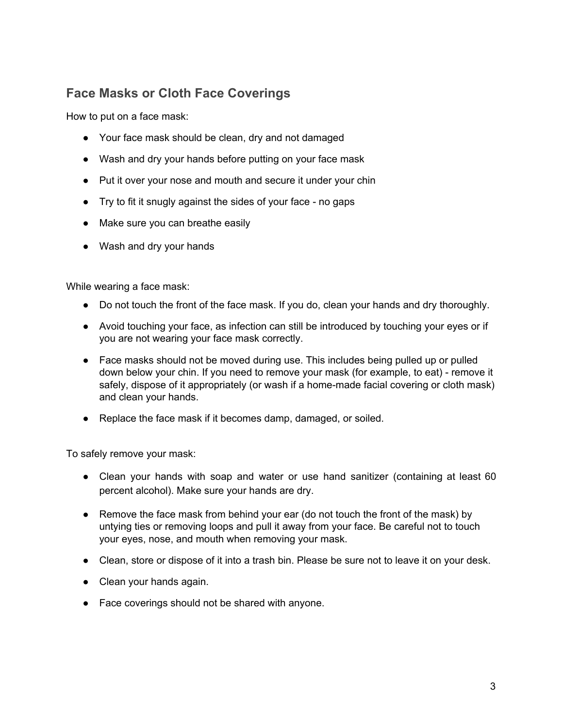#### **Face Masks or Cloth Face Coverings**

How to put on a face mask:

- Your face mask should be clean, dry and not damaged
- Wash and dry your hands before putting on your face mask
- Put it over your nose and mouth and secure it under your chin
- Try to fit it snugly against the sides of your face no gaps
- Make sure you can breathe easily
- Wash and dry your hands

While wearing a face mask:

- Do not touch the front of the face mask. If you do, clean your hands and dry thoroughly.
- Avoid touching your face, as infection can still be introduced by touching your eyes or if you are not wearing your face mask correctly.
- Face masks should not be moved during use. This includes being pulled up or pulled down below your chin. If you need to remove your mask (for example, to eat) - remove it safely, dispose of it appropriately (or wash if a home-made facial covering or cloth mask) and clean your hands.
- Replace the face mask if it becomes damp, damaged, or soiled.

To safely remove your mask:

- Clean your hands with soap and water or use hand sanitizer (containing at least 60 percent alcohol). Make sure your hands are dry.
- Remove the face mask from behind your ear (do not touch the front of the mask) by untying ties or removing loops and pull it away from your face. Be careful not to touch your eyes, nose, and mouth when removing your mask.
- Clean, store or dispose of it into a trash bin. Please be sure not to leave it on your desk.
- Clean your hands again.
- Face coverings should not be shared with anyone.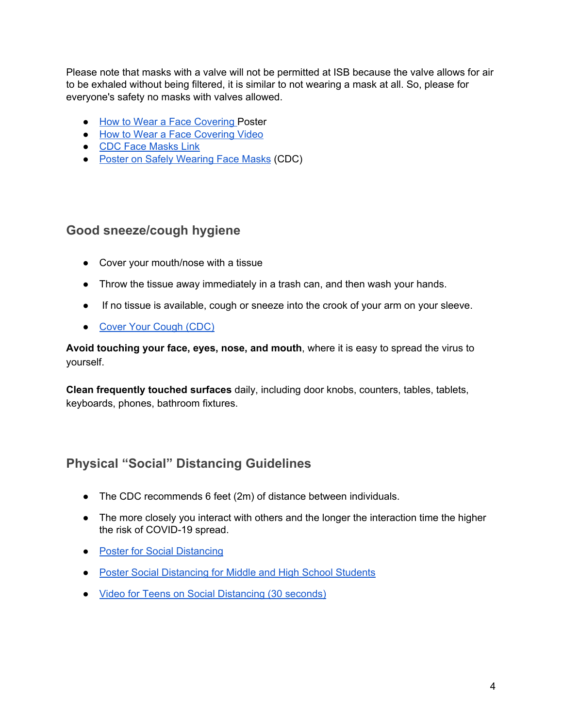Please note that masks with a valve will not be permitted at ISB because the valve allows for air to be exhaled without being filtered, it is similar to not wearing a mask at all. So, please for everyone's safety no masks with valves allowed.

- How to Wear a Face [Covering](https://www.mass.gov/doc/use-face-coverings-effectively/download) Poster
- How to Wear a Face [Covering](https://youtu.be/HtUJPizQVPI) Video
- CDC Face [Masks](https://www.cdc.gov/coronavirus/2019-ncov/prevent-getting-sick/diy-cloth-face-coverings.html?deliveryName=USCDC_2067-DM25135) Link
- Poster on Safely [Wearing](https://www.cdc.gov/coronavirus/2019-ncov/downloads/cloth-face-covering.pdf) Face Masks (CDC)

#### **Good sneeze/cough hygiene**

- Cover your mouth/nose with a tissue
- Throw the tissue away immediately in a trash can, and then wash your hands.
- If no tissue is available, cough or sneeze into the crook of your arm on your sleeve.
- Cover Your [Cough](https://www.cdc.gov/flu/pdf/protect/cdc_cough.pdf) (CDC)

**Avoid touching your face, eyes, nose, and mouth**, where it is easy to spread the virus to yourself.

**Clean frequently touched surfaces** daily, including door knobs, counters, tables, tablets, keyboards, phones, bathroom fixtures.

### **Physical "Social" Distancing Guidelines**

- The CDC recommends 6 feet (2m) of distance between individuals.
- The more closely you interact with others and the longer the interaction time the higher the risk of COVID-19 spread.
- Poster for Social [Distancing](https://www.mass.gov/doc/help-prevent-covid-19-with-social-distancing/download)
- Poster Social [Distancing](https://www.mass.gov/doc/how-young-people-can-prevent-covid-19-with-social-distancing/download) for Middle and High School Students
- Video for Teens on Social [Distancing](https://www.youtube.com/watch?v=anWI91gThfY) (30 seconds)